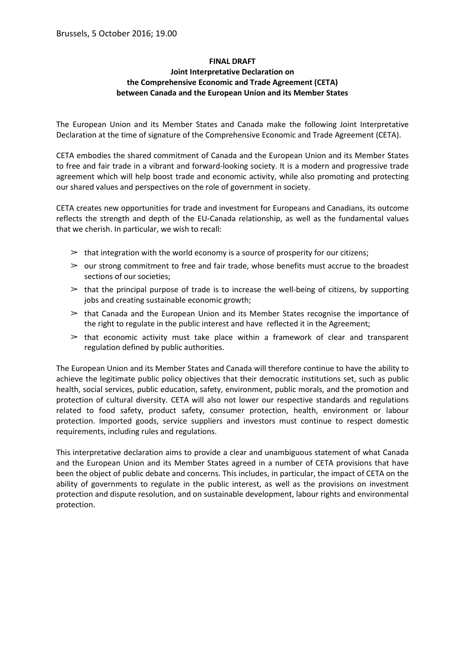# **FINAL DRAFT Joint Interpretative Declaration on the Comprehensive Economic and Trade Agreement (CETA) between Canada and the European Union and its Member States**

The European Union and its Member States and Canada make the following Joint Interpretative Declaration at the time of signature of the Comprehensive Economic and Trade Agreement (CETA).

CETA embodies the shared commitment of Canada and the European Union and its Member States to free and fair trade in a vibrant and forward-looking society. It is a modern and progressive trade agreement which will help boost trade and economic activity, while also promoting and protecting our shared values and perspectives on the role of government in society.

CETA creates new opportunities for trade and investment for Europeans and Canadians, its outcome reflects the strength and depth of the EU-Canada relationship, as well as the fundamental values that we cherish. In particular, we wish to recall:

- $\triangleright$  that integration with the world economy is a source of prosperity for our citizens;
- $\geq$  our strong commitment to free and fair trade, whose benefits must accrue to the broadest sections of our societies;
- $\geq$  that the principal purpose of trade is to increase the well-being of citizens, by supporting jobs and creating sustainable economic growth;
- $\geq$  that Canada and the European Union and its Member States recognise the importance of the right to regulate in the public interest and have reflected it in the Agreement;
- $\geq$  that economic activity must take place within a framework of clear and transparent regulation defined by public authorities.

The European Union and its Member States and Canada will therefore continue to have the ability to achieve the legitimate public policy objectives that their democratic institutions set, such as public health, social services, public education, safety, environment, public morals, and the promotion and protection of cultural diversity. CETA will also not lower our respective standards and regulations related to food safety, product safety, consumer protection, health, environment or labour protection. Imported goods, service suppliers and investors must continue to respect domestic requirements, including rules and regulations.

This interpretative declaration aims to provide a clear and unambiguous statement of what Canada and the European Union and its Member States agreed in a number of CETA provisions that have been the object of public debate and concerns. This includes, in particular, the impact of CETA on the ability of governments to regulate in the public interest, as well as the provisions on investment protection and dispute resolution, and on sustainable development, labour rights and environmental protection.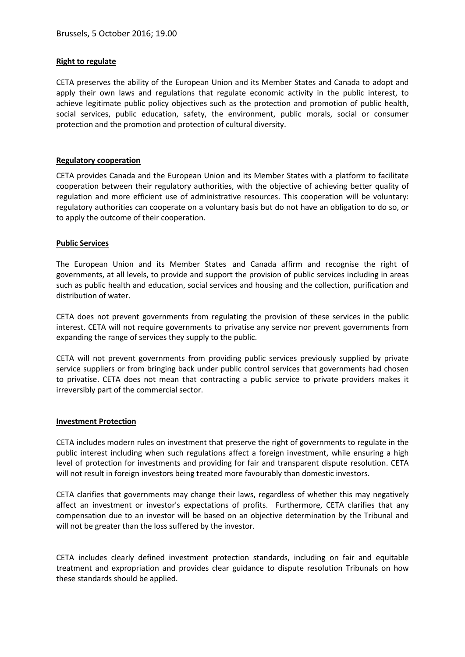## **Right to regulate**

CETA preserves the ability of the European Union and its Member States and Canada to adopt and apply their own laws and regulations that regulate economic activity in the public interest, to achieve legitimate public policy objectives such as the protection and promotion of public health, social services, public education, safety, the environment, public morals, social or consumer protection and the promotion and protection of cultural diversity.

## **Regulatory cooperation**

CETA provides Canada and the European Union and its Member States with a platform to facilitate cooperation between their regulatory authorities, with the objective of achieving better quality of regulation and more efficient use of administrative resources. This cooperation will be voluntary: regulatory authorities can cooperate on a voluntary basis but do not have an obligation to do so, or to apply the outcome of their cooperation.

## **Public Services**

The European Union and its Member States and Canada affirm and recognise the right of governments, at all levels, to provide and support the provision of public services including in areas such as public health and education, social services and housing and the collection, purification and distribution of water.

CETA does not prevent governments from regulating the provision of these services in the public interest. CETA will not require governments to privatise any service nor prevent governments from expanding the range of services they supply to the public.

CETA will not prevent governments from providing public services previously supplied by private service suppliers or from bringing back under public control services that governments had chosen to privatise. CETA does not mean that contracting a public service to private providers makes it irreversibly part of the commercial sector.

#### **Investment Protection**

CETA includes modern rules on investment that preserve the right of governments to regulate in the public interest including when such regulations affect a foreign investment, while ensuring a high level of protection for investments and providing for fair and transparent dispute resolution. CETA will not result in foreign investors being treated more favourably than domestic investors.

CETA clarifies that governments may change their laws, regardless of whether this may negatively affect an investment or investor's expectations of profits. Furthermore, CETA clarifies that any compensation due to an investor will be based on an objective determination by the Tribunal and will not be greater than the loss suffered by the investor.

CETA includes clearly defined investment protection standards, including on fair and equitable treatment and expropriation and provides clear guidance to dispute resolution Tribunals on how these standards should be applied.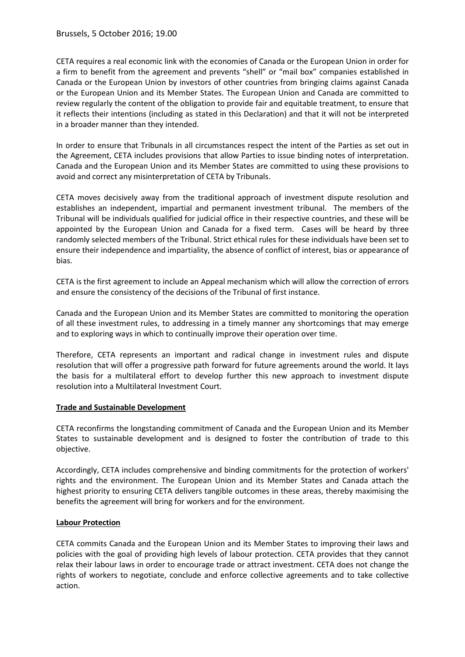# Brussels, 5 October 2016; 19.00

CETA requires a real economic link with the economies of Canada or the European Union in order for a firm to benefit from the agreement and prevents "shell" or "mail box" companies established in Canada or the European Union by investors of other countries from bringing claims against Canada or the European Union and its Member States. The European Union and Canada are committed to review regularly the content of the obligation to provide fair and equitable treatment, to ensure that it reflects their intentions (including as stated in this Declaration) and that it will not be interpreted in a broader manner than they intended.

In order to ensure that Tribunals in all circumstances respect the intent of the Parties as set out in the Agreement, CETA includes provisions that allow Parties to issue binding notes of interpretation. Canada and the European Union and its Member States are committed to using these provisions to avoid and correct any misinterpretation of CETA by Tribunals.

CETA moves decisively away from the traditional approach of investment dispute resolution and establishes an independent, impartial and permanent investment tribunal. The members of the Tribunal will be individuals qualified for judicial office in their respective countries, and these will be appointed by the European Union and Canada for a fixed term. Cases will be heard by three randomly selected members of the Tribunal. Strict ethical rules for these individuals have been set to ensure their independence and impartiality, the absence of conflict of interest, bias or appearance of bias.

CETA is the first agreement to include an Appeal mechanism which will allow the correction of errors and ensure the consistency of the decisions of the Tribunal of first instance.

Canada and the European Union and its Member States are committed to monitoring the operation of all these investment rules, to addressing in a timely manner any shortcomings that may emerge and to exploring ways in which to continually improve their operation over time.

Therefore, CETA represents an important and radical change in investment rules and dispute resolution that will offer a progressive path forward for future agreements around the world. It lays the basis for a multilateral effort to develop further this new approach to investment dispute resolution into a Multilateral Investment Court.

#### **Trade and Sustainable Development**

CETA reconfirms the longstanding commitment of Canada and the European Union and its Member States to sustainable development and is designed to foster the contribution of trade to this objective.

Accordingly, CETA includes comprehensive and binding commitments for the protection of workers' rights and the environment. The European Union and its Member States and Canada attach the highest priority to ensuring CETA delivers tangible outcomes in these areas, thereby maximising the benefits the agreement will bring for workers and for the environment.

#### **Labour Protection**

CETA commits Canada and the European Union and its Member States to improving their laws and policies with the goal of providing high levels of labour protection. CETA provides that they cannot relax their labour laws in order to encourage trade or attract investment. CETA does not change the rights of workers to negotiate, conclude and enforce collective agreements and to take collective action.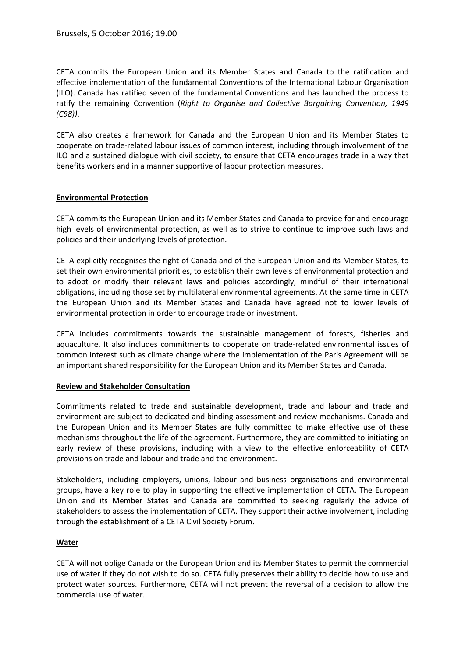CETA commits the European Union and its Member States and Canada to the ratification and effective implementation of the fundamental Conventions of the International Labour Organisation (ILO). Canada has ratified seven of the fundamental Conventions and has launched the process to ratify the remaining Convention (*Right to Organise and Collective Bargaining Convention, 1949 (C98))*.

CETA also creates a framework for Canada and the European Union and its Member States to cooperate on trade-related labour issues of common interest, including through involvement of the ILO and a sustained dialogue with civil society, to ensure that CETA encourages trade in a way that benefits workers and in a manner supportive of labour protection measures.

## **Environmental Protection**

CETA commits the European Union and its Member States and Canada to provide for and encourage high levels of environmental protection, as well as to strive to continue to improve such laws and policies and their underlying levels of protection.

CETA explicitly recognises the right of Canada and of the European Union and its Member States, to set their own environmental priorities, to establish their own levels of environmental protection and to adopt or modify their relevant laws and policies accordingly, mindful of their international obligations, including those set by multilateral environmental agreements. At the same time in CETA the European Union and its Member States and Canada have agreed not to lower levels of environmental protection in order to encourage trade or investment.

CETA includes commitments towards the sustainable management of forests, fisheries and aquaculture. It also includes commitments to cooperate on trade-related environmental issues of common interest such as climate change where the implementation of the Paris Agreement will be an important shared responsibility for the European Union and its Member States and Canada.

#### **Review and Stakeholder Consultation**

Commitments related to trade and sustainable development, trade and labour and trade and environment are subject to dedicated and binding assessment and review mechanisms. Canada and the European Union and its Member States are fully committed to make effective use of these mechanisms throughout the life of the agreement. Furthermore, they are committed to initiating an early review of these provisions, including with a view to the effective enforceability of CETA provisions on trade and labour and trade and the environment.

Stakeholders, including employers, unions, labour and business organisations and environmental groups, have a key role to play in supporting the effective implementation of CETA. The European Union and its Member States and Canada are committed to seeking regularly the advice of stakeholders to assess the implementation of CETA. They support their active involvement, including through the establishment of a CETA Civil Society Forum.

# **Water**

CETA will not oblige Canada or the European Union and its Member States to permit the commercial use of water if they do not wish to do so. CETA fully preserves their ability to decide how to use and protect water sources. Furthermore, CETA will not prevent the reversal of a decision to allow the commercial use of water.